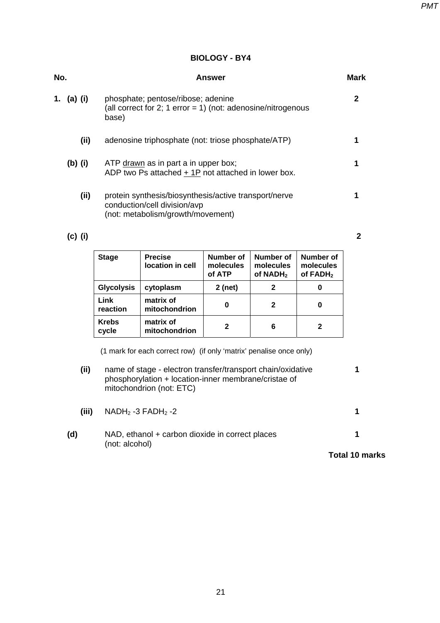## **BIOLOGY - BY4**

| No.             | Answer                                                                                                                     | <b>Mark</b> |  |
|-----------------|----------------------------------------------------------------------------------------------------------------------------|-------------|--|
| 1.<br>$(a)$ (i) | phosphate; pentose/ribose; adenine<br>(all correct for 2; 1 error = 1) (not: adenosine/nitrogenous<br>base)                | 2           |  |
| (ii)            | adenosine triphosphate (not: triose phosphate/ATP)                                                                         |             |  |
| $(b)$ (i)       | ATP drawn as in part a in upper box;<br>ADP two Ps attached + 1P not attached in lower box.                                |             |  |
| (ii)            | protein synthesis/biosynthesis/active transport/nerve<br>conduction/cell division/avp<br>(not: metabolism/growth/movement) |             |  |
|                 |                                                                                                                            |             |  |

## **(c) (i) 2**

| <b>Stage</b>            | <b>Precise</b><br>location in cell | Number of<br>molecules<br>of ATP | Number of<br>molecules<br>of NADH <sub>2</sub> | Number of<br>molecules<br>of FADH <sub>2</sub> |
|-------------------------|------------------------------------|----------------------------------|------------------------------------------------|------------------------------------------------|
| <b>Glycolysis</b>       | cytoplasm                          | 2 (net)                          | 2                                              | 0                                              |
| <b>Link</b><br>reaction | matrix of<br>mitochondrion         | O                                | 2                                              | 0                                              |
| <b>Krebs</b><br>cycle   | matrix of<br>mitochondrion         | 2                                | 6                                              | 2                                              |

(1 mark for each correct row) (if only 'matrix' penalise once only)

| (ii)  | name of stage - electron transfer/transport chain/oxidative<br>phosphorylation + location-inner membrane/cristae of<br>mitochondrion (not: ETC) |  |  |
|-------|-------------------------------------------------------------------------------------------------------------------------------------------------|--|--|
| (iii) | $NADH2 -3 FADH2 -2$                                                                                                                             |  |  |
| (d)   | NAD, ethanol + carbon dioxide in correct places<br>(not: alcohol)                                                                               |  |  |

**Total 10 marks**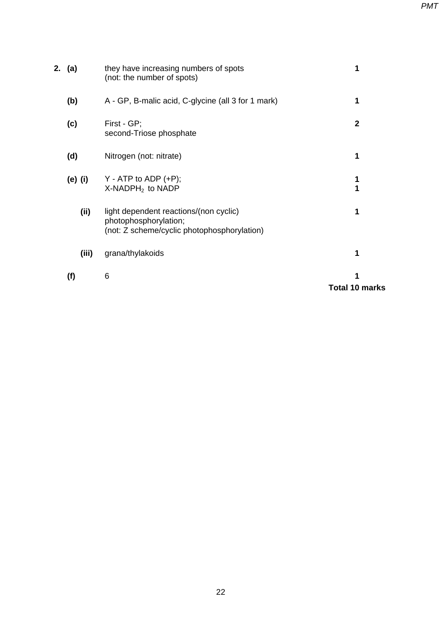|        | (f)     | 6                                                                                                              | <b>Total 10 marks</b> |
|--------|---------|----------------------------------------------------------------------------------------------------------------|-----------------------|
|        | (iii)   | grana/thylakoids                                                                                               |                       |
|        | (i)     | light dependent reactions/(non cyclic)<br>photophosphorylation;<br>(not: Z scheme/cyclic photophosphorylation) |                       |
|        | (e) (i) | $Y - ATP$ to ADP $(+P)$ ;<br>$X$ -NADPH <sub>2</sub> to NADP                                                   |                       |
|        | (d)     | Nitrogen (not: nitrate)                                                                                        |                       |
|        | (c)     | First - GP;<br>second-Triose phosphate                                                                         | $\mathbf{2}$          |
|        | (b)     | A - GP, B-malic acid, C-glycine (all 3 for 1 mark)                                                             |                       |
| 2. (a) |         | they have increasing numbers of spots<br>(not: the number of spots)                                            |                       |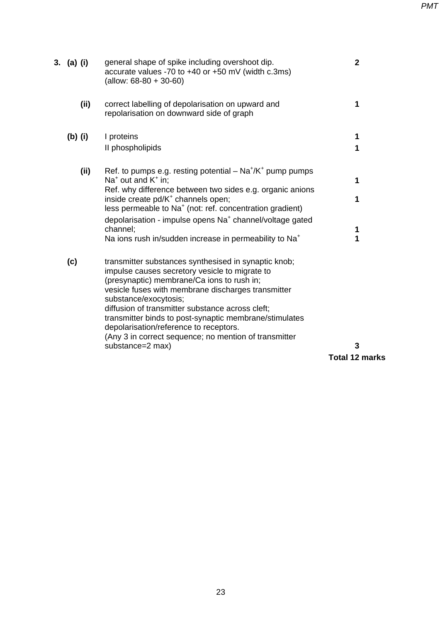| 3. (a) (i) | general shape of spike including overshoot dip.<br>accurate values -70 to +40 or +50 mV (width c.3ms)<br>(allow: $68-80 + 30-60$ )                                                                                                                                                                                                                                                                                                                   | $\mathbf{2}$          |
|------------|------------------------------------------------------------------------------------------------------------------------------------------------------------------------------------------------------------------------------------------------------------------------------------------------------------------------------------------------------------------------------------------------------------------------------------------------------|-----------------------|
| (ii)       | correct labelling of depolarisation on upward and<br>repolarisation on downward side of graph                                                                                                                                                                                                                                                                                                                                                        | 1                     |
| (b) (i)    | I proteins                                                                                                                                                                                                                                                                                                                                                                                                                                           | 1                     |
|            | II phospholipids                                                                                                                                                                                                                                                                                                                                                                                                                                     | 1                     |
| (ii)       | Ref. to pumps e.g. resting potential $-$ Na <sup>+</sup> /K <sup>+</sup> pump pumps<br>$Na+$ out and $K+$ in;                                                                                                                                                                                                                                                                                                                                        | 1                     |
|            | Ref. why difference between two sides e.g. organic anions<br>inside create pd/K <sup>+</sup> channels open;<br>less permeable to Na <sup>+</sup> (not: ref. concentration gradient)                                                                                                                                                                                                                                                                  | 1                     |
|            | depolarisation - impulse opens Na <sup>+</sup> channel/voltage gated<br>channel;                                                                                                                                                                                                                                                                                                                                                                     | 1                     |
|            | Na ions rush in/sudden increase in permeability to Na <sup>+</sup>                                                                                                                                                                                                                                                                                                                                                                                   | 1                     |
| (c)        | transmitter substances synthesised in synaptic knob;<br>impulse causes secretory vesicle to migrate to<br>(presynaptic) membrane/Ca ions to rush in;<br>vesicle fuses with membrane discharges transmitter<br>substance/exocytosis;<br>diffusion of transmitter substance across cleft;<br>transmitter binds to post-synaptic membrane/stimulates<br>depolarisation/reference to receptors.<br>(Any 3 in correct sequence; no mention of transmitter |                       |
|            | substance=2 max)                                                                                                                                                                                                                                                                                                                                                                                                                                     | 3                     |
|            |                                                                                                                                                                                                                                                                                                                                                                                                                                                      | <b>Total 12 marks</b> |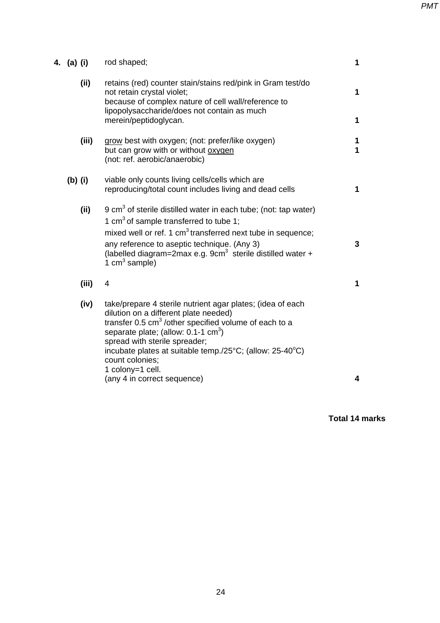| 4. (a) (i) | rod shaped;                                                                                                                                                                                                                                                                                                                                                                                      | $\mathbf{1}$ |
|------------|--------------------------------------------------------------------------------------------------------------------------------------------------------------------------------------------------------------------------------------------------------------------------------------------------------------------------------------------------------------------------------------------------|--------------|
| (i)        | retains (red) counter stain/stains red/pink in Gram test/do<br>not retain crystal violet;<br>because of complex nature of cell wall/reference to<br>lipopolysaccharide/does not contain as much<br>merein/peptidoglycan.                                                                                                                                                                         | 1<br>1       |
| (iii)      | grow best with oxygen; (not: prefer/like oxygen)<br>but can grow with or without oxygen<br>(not: ref. aerobic/anaerobic)                                                                                                                                                                                                                                                                         | 1<br>1       |
| $(b)$ (i)  | viable only counts living cells/cells which are<br>reproducing/total count includes living and dead cells                                                                                                                                                                                                                                                                                        | 1            |
| (ii)       | 9 cm <sup>3</sup> of sterile distilled water in each tube; (not: tap water)<br>1 cm <sup>3</sup> of sample transferred to tube 1;<br>mixed well or ref. 1 cm <sup>3</sup> transferred next tube in sequence;<br>any reference to aseptic technique. (Any 3)<br>(labelled diagram=2max e.g. 9cm <sup>3</sup> sterile distilled water +<br>1 cm <sup>3</sup> sample)                               | $\mathbf{3}$ |
| (iii)      | 4                                                                                                                                                                                                                                                                                                                                                                                                | 1            |
| (iv)       | take/prepare 4 sterile nutrient agar plates; (idea of each<br>dilution on a different plate needed)<br>transfer 0.5 cm <sup>3</sup> /other specified volume of each to a<br>separate plate; (allow: $0.1-1$ cm <sup>3</sup> )<br>spread with sterile spreader;<br>incubate plates at suitable temp./25°C; (allow: 25-40°C)<br>count colonies;<br>1 colony=1 cell.<br>(any 4 in correct sequence) | 4            |

**Total 14 marks**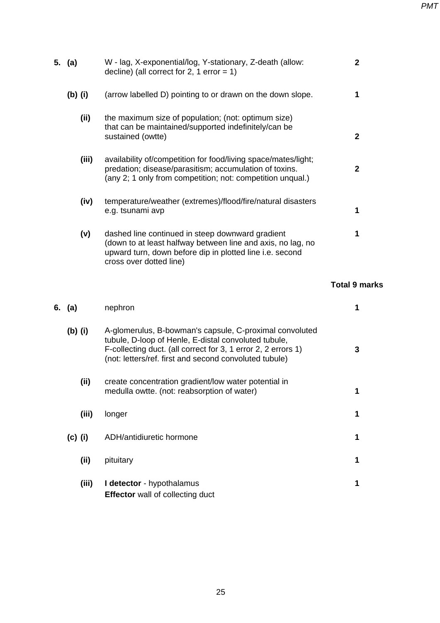*PMT*

| 5. $(a)$  | W - lag, X-exponential/log, Y-stationary, Z-death (allow:<br>decline) (all correct for 2, 1 error = $1$ )                                                                                                                                  |                      |
|-----------|--------------------------------------------------------------------------------------------------------------------------------------------------------------------------------------------------------------------------------------------|----------------------|
| $(b)$ (i) | (arrow labelled D) pointing to or drawn on the down slope.                                                                                                                                                                                 | 1                    |
| (ii)      | the maximum size of population; (not: optimum size)<br>that can be maintained/supported indefinitely/can be<br>sustained (owtte)                                                                                                           | $\mathbf 2$          |
| (iii)     | availability of/competition for food/living space/mates/light;<br>predation; disease/parasitism; accumulation of toxins.<br>(any 2; 1 only from competition; not: competition unqual.)                                                     | $\mathbf 2$          |
| (iv)      | temperature/weather (extremes)/flood/fire/natural disasters<br>e.g. tsunami avp                                                                                                                                                            | 1                    |
| (v)       | dashed line continued in steep downward gradient<br>(down to at least halfway between line and axis, no lag, no<br>upward turn, down before dip in plotted line i.e. second<br>cross over dotted line)                                     | 1                    |
|           |                                                                                                                                                                                                                                            | <b>Total 9 marks</b> |
| 6. $(a)$  | nephron                                                                                                                                                                                                                                    | 1                    |
|           |                                                                                                                                                                                                                                            |                      |
| $(b)$ (i) | A-glomerulus, B-bowman's capsule, C-proximal convoluted<br>tubule, D-loop of Henle, E-distal convoluted tubule,<br>F-collecting duct. (all correct for 3, 1 error 2, 2 errors 1)<br>(not: letters/ref. first and second convoluted tubule) | 3                    |
| (ii)      | create concentration gradient/low water potential in<br>medulla owtte. (not: reabsorption of water)                                                                                                                                        | 1                    |
| (iii)     | longer                                                                                                                                                                                                                                     | 1                    |
| $(c)$ (i) | ADH/antidiuretic hormone                                                                                                                                                                                                                   | 1                    |
| (ii)      | pituitary                                                                                                                                                                                                                                  | 1                    |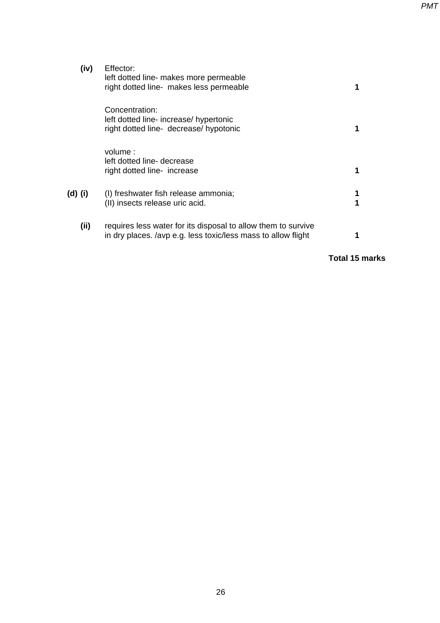*PMT*

| (iv)    | Effector:<br>left dotted line- makes more permeable<br>right dotted line- makes less permeable                                 |  |
|---------|--------------------------------------------------------------------------------------------------------------------------------|--|
|         | Concentration:<br>left dotted line- increase/ hypertonic<br>right dotted line- decrease/ hypotonic                             |  |
|         | volume:<br>left dotted line- decrease<br>right dotted line- increase                                                           |  |
| (d) (i) | (I) freshwater fish release ammonia;<br>(II) insects release uric acid.                                                        |  |
| (ii)    | requires less water for its disposal to allow them to survive<br>in dry places. /avp e.g. less toxic/less mass to allow flight |  |

**Total 15 marks**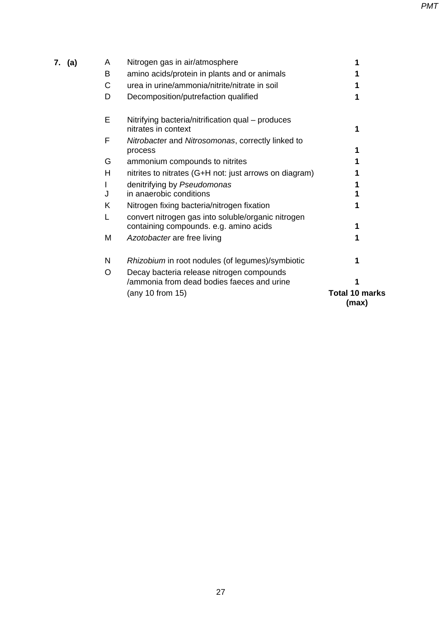| 7. (a) | A | Nitrogen gas in air/atmosphere                                                               |                                |
|--------|---|----------------------------------------------------------------------------------------------|--------------------------------|
|        | B | amino acids/protein in plants and or animals                                                 |                                |
|        | C | urea in urine/ammonia/nitrite/nitrate in soil                                                |                                |
|        | D | Decomposition/putrefaction qualified                                                         |                                |
|        | Е | Nitrifying bacteria/nitrification qual – produces<br>nitrates in context                     |                                |
|        | F | Nitrobacter and Nitrosomonas, correctly linked to<br>process                                 |                                |
|        | G | ammonium compounds to nitrites                                                               |                                |
|        | H | nitrites to nitrates (G+H not: just arrows on diagram)                                       |                                |
|        |   | denitrifying by Pseudomonas                                                                  |                                |
|        | J | in anaerobic conditions                                                                      |                                |
|        | Κ | Nitrogen fixing bacteria/nitrogen fixation                                                   |                                |
|        |   | convert nitrogen gas into soluble/organic nitrogen<br>containing compounds. e.g. amino acids |                                |
|        | M | Azotobacter are free living                                                                  |                                |
|        | N | Rhizobium in root nodules (of legumes)/symbiotic                                             |                                |
|        | O | Decay bacteria release nitrogen compounds<br>/ammonia from dead bodies faeces and urine      |                                |
|        |   | (any 10 from 15)                                                                             | <b>Total 10 marks</b><br>(max) |